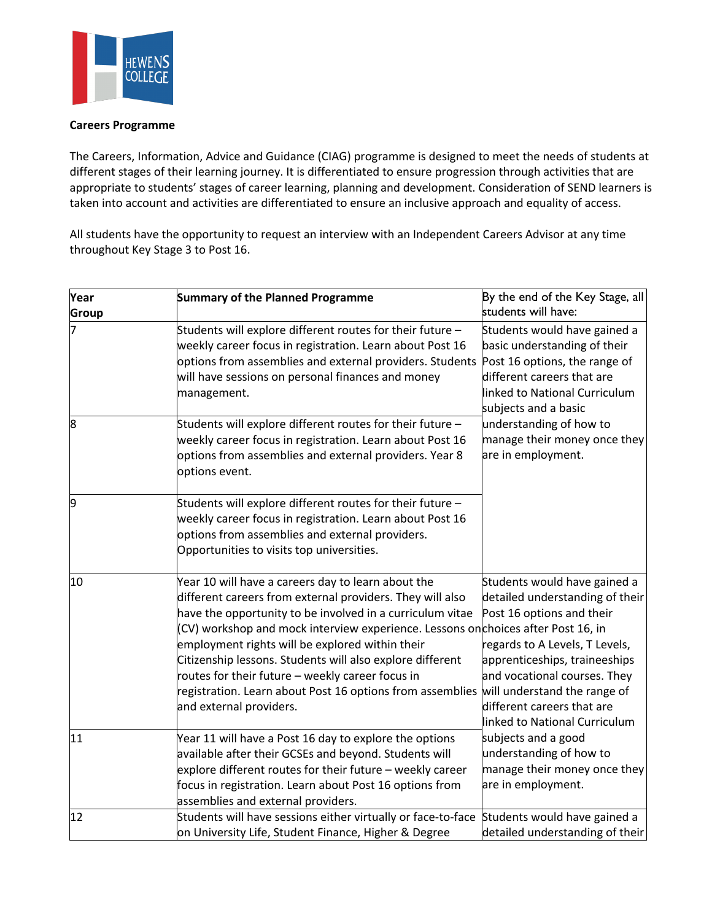

## **Careers Programme**

The Careers, Information, Advice and Guidance (CIAG) programme is designed to meet the needs of students at different stages of their learning journey. It is differentiated to ensure progression through activities that are appropriate to students' stages of career learning, planning and development. Consideration of SEND learners is taken into account and activities are differentiated to ensure an inclusive approach and equality of access.

All students have the opportunity to request an interview with an Independent Careers Advisor at any time throughout Key Stage 3 to Post 16.

| Year  | <b>Summary of the Planned Programme</b>                                                                                                                                                                                                                                                                                                                                                                                                                                                                                                                   | By the end of the Key Stage, all                                                                                                                                                                                                                                                                                                                                       |
|-------|-----------------------------------------------------------------------------------------------------------------------------------------------------------------------------------------------------------------------------------------------------------------------------------------------------------------------------------------------------------------------------------------------------------------------------------------------------------------------------------------------------------------------------------------------------------|------------------------------------------------------------------------------------------------------------------------------------------------------------------------------------------------------------------------------------------------------------------------------------------------------------------------------------------------------------------------|
| Group |                                                                                                                                                                                                                                                                                                                                                                                                                                                                                                                                                           | students will have:                                                                                                                                                                                                                                                                                                                                                    |
|       | Students will explore different routes for their future -<br>weekly career focus in registration. Learn about Post 16<br>options from assemblies and external providers. Students<br>will have sessions on personal finances and money<br>management.                                                                                                                                                                                                                                                                                                     | Students would have gained a<br>basic understanding of their<br>Post 16 options, the range of<br>different careers that are<br>linked to National Curriculum<br>subjects and a basic<br>understanding of how to<br>manage their money once they<br>are in employment.                                                                                                  |
| 8     | Students will explore different routes for their future -<br>weekly career focus in registration. Learn about Post 16<br>options from assemblies and external providers. Year 8<br>options event.                                                                                                                                                                                                                                                                                                                                                         |                                                                                                                                                                                                                                                                                                                                                                        |
| 9     | Students will explore different routes for their future -<br>weekly career focus in registration. Learn about Post 16<br>options from assemblies and external providers.<br>Opportunities to visits top universities.                                                                                                                                                                                                                                                                                                                                     |                                                                                                                                                                                                                                                                                                                                                                        |
| 10    | Year 10 will have a careers day to learn about the<br>different careers from external providers. They will also<br>have the opportunity to be involved in a curriculum vitae<br>(CV) workshop and mock interview experience. Lessons onchoices after Post 16, in<br>employment rights will be explored within their<br>Citizenship lessons. Students will also explore different<br>routes for their future - weekly career focus in<br>registration. Learn about Post 16 options from assemblies will understand the range of<br>and external providers. | Students would have gained a<br>detailed understanding of their<br>Post 16 options and their<br>regards to A Levels, T Levels,<br>apprenticeships, traineeships<br>and vocational courses. They<br>different careers that are<br>linked to National Curriculum<br>subjects and a good<br>understanding of how to<br>manage their money once they<br>are in employment. |
| 11    | Year 11 will have a Post 16 day to explore the options<br>available after their GCSEs and beyond. Students will<br>explore different routes for their future - weekly career<br>focus in registration. Learn about Post 16 options from<br>assemblies and external providers.                                                                                                                                                                                                                                                                             |                                                                                                                                                                                                                                                                                                                                                                        |
| 12    | Students will have sessions either virtually or face-to-face Students would have gained a<br>on University Life, Student Finance, Higher & Degree                                                                                                                                                                                                                                                                                                                                                                                                         | detailed understanding of their                                                                                                                                                                                                                                                                                                                                        |